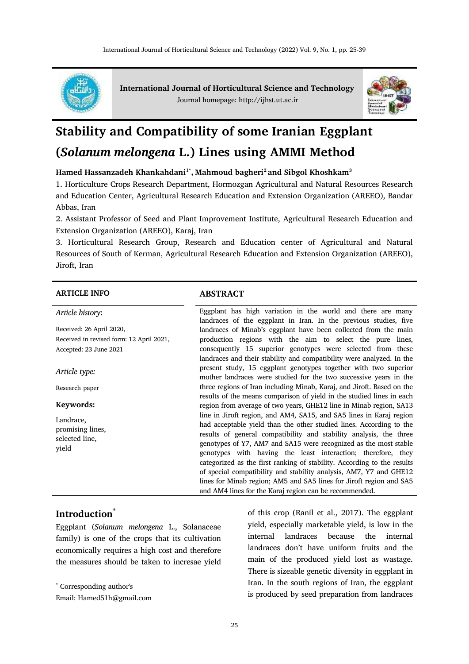

**International Journal of Horticultural Science and Technology** Journal homepage: http://ijhst.ut.ac.ir



# **Stability and Compatibility of some Iranian Eggplant (***Solanum melongena* **L.) Lines using AMMI Method**

**Hamed Hassanzadeh Khankahdani1\* , Mahmoud bagheri<sup>2</sup>and Sibgol Khoshkam<sup>3</sup>**

1. Horticulture Crops Research Department, Hormozgan Agricultural and Natural Resources Research and Education Center, Agricultural Research Education and Extension Organization (AREEO), Bandar Abbas, Iran

2. Assistant Professor of Seed and Plant Improvement Institute, Agricultural Research Education and Extension Organization (AREEO), Karaj, Iran

3. Horticultural Research Group, Research and Education center of Agricultural and Natural Resources of South of Kerman, Agricultural Research Education and Extension Organization (AREEO), Jiroft, Iran

### **ARTICLE INFO ABSTRACT**

| Article history:                         | Eggplant has high variation in the world and there are many<br>landraces of the eggplant in Iran. In the previous studies, five |
|------------------------------------------|---------------------------------------------------------------------------------------------------------------------------------|
| Received: 26 April 2020,                 | landraces of Minab's eggplant have been collected from the main                                                                 |
| Received in revised form: 12 April 2021, | production regions with the aim to select the pure lines,                                                                       |
| Accepted: 23 June 2021                   | consequently 15 superior genotypes were selected from these                                                                     |
|                                          | landraces and their stability and compatibility were analyzed. In the                                                           |
| Article type:                            | present study, 15 eggplant genotypes together with two superior                                                                 |
|                                          | mother landraces were studied for the two successive years in the                                                               |
| Research paper                           | three regions of Iran including Minab, Karaj, and Jiroft. Based on the                                                          |
|                                          | results of the means comparison of yield in the studied lines in each                                                           |
| Keywords:                                | region from average of two years, GHE12 line in Minab region, SA13                                                              |
| Landrace,                                | line in Jiroft region, and AM4, SA15, and SA5 lines in Karaj region                                                             |
| promising lines,                         | had acceptable yield than the other studied lines. According to the                                                             |
| selected line.                           | results of general compatibility and stability analysis, the three                                                              |
| yield                                    | genotypes of Y7, AM7 and SA15 were recognized as the most stable                                                                |
|                                          | genotypes with having the least interaction; therefore, they                                                                    |
|                                          | categorized as the first ranking of stability. According to the results                                                         |
|                                          | of special compatibility and stability analysis, AM7, Y7 and GHE12                                                              |
|                                          | lines for Minab region; AM5 and SA5 lines for Jiroft region and SA5                                                             |
|                                          | and AM4 lines for the Karaj region can be recommended.                                                                          |

# **Introduction**\*

Eggplant (*Solanum melongena* L., Solanaceae family) is one of the crops that its cultivation economically requires a high cost and therefore the measures should be taken to incresae yield

 $\overline{a}$ 

of this crop (Ranil et al., 2017). The eggplant yield, especially marketable yield, is low in the internal landraces because the internal landraces don't have uniform fruits and the main of the produced yield lost as wastage. There is sizeable genetic diversity in eggplant in Iran. In the south regions of Iran, the eggplant is produced by seed preparation from landraces

<sup>\*</sup> Corresponding author's

Email: Hamed51h@gmail.com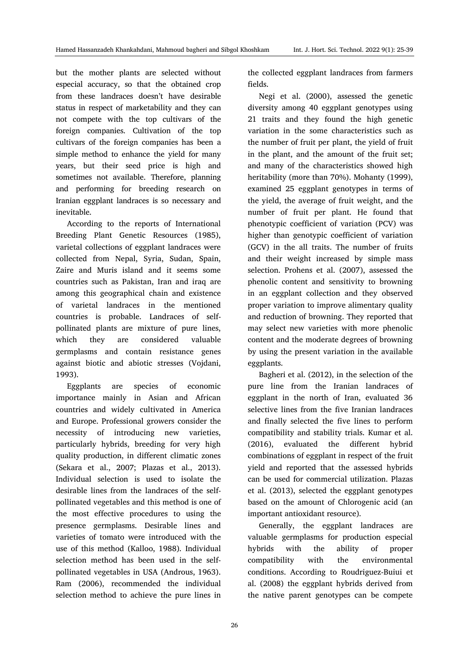but the mother plants are selected without especial accuracy, so that the obtained crop from these landraces doesn't have desirable status in respect of marketability and they can not compete with the top cultivars of the foreign companies. Cultivation of the top cultivars of the foreign companies has been a simple method to enhance the yield for many years, but their seed price is high and sometimes not available. Therefore, planning and performing for breeding research on Iranian eggplant landraces is so necessary and inevitable.

According to the reports of International Breeding Plant Genetic Resources (1985), varietal collections of eggplant landraces were collected from Nepal, Syria, Sudan, Spain, Zaire and Muris island and it seems some countries such as Pakistan, Iran and iraq are among this geographical chain and existence of varietal landraces in the mentioned countries is probable. Landraces of selfpollinated plants are mixture of pure lines, which they are considered valuable germplasms and contain resistance genes against biotic and abiotic stresses (Vojdani, 1993).

Eggplants are species of economic importance mainly in Asian and African countries and widely cultivated in America and Europe. Professional growers consider the necessity of introducing new varieties, particularly hybrids, breeding for very high quality production, in different climatic zones (Sekara et al., 2007; Plazas et al., 2013). Individual selection is used to isolate the desirable lines from the landraces of the selfpollinated vegetables and this method is one of the most effective procedures to using the presence germplasms. Desirable lines and varieties of tomato were introduced with the use of this method (Kalloo, 1988). Individual selection method has been used in the selfpollinated vegetables in USA (Androus, 1963). Ram (2006), recommended the individual selection method to achieve the pure lines in the collected eggplant landraces from farmers fields.

Negi et al. (2000), assessed the genetic diversity among 40 eggplant genotypes using 21 traits and they found the high genetic variation in the some characteristics such as the number of fruit per plant, the yield of fruit in the plant, and the amount of the fruit set; and many of the characteristics showed high heritability (more than 70%). Mohanty (1999), examined 25 eggplant genotypes in terms of the yield, the average of fruit weight, and the number of fruit per plant. He found that phenotypic coefficient of variation (PCV) was higher than genotypic coefficient of variation (GCV) in the all traits. The number of fruits and their weight increased by simple mass selection. Prohens et al. (2007), assessed the phenolic content and sensitivity to browning in an eggplant collection and they observed proper variation to improve alimentary quality and reduction of browning. They reported that may select new varieties with more phenolic content and the moderate degrees of browning by using the present variation in the available eggplants.

Bagheri et al. (2012), in the selection of the pure line from the Iranian landraces of eggplant in the north of Iran, evaluated 36 selective lines from the five Iranian landraces and finally selected the five lines to perform compatibility and stability trials. Kumar et al. (2016), evaluated the different hybrid combinations of eggplant in respect of the fruit yield and reported that the assessed hybrids can be used for commercial utilization. Plazas et al. (2013), selected the eggplant genotypes based on the amount of Chlorogenic acid (an important antioxidant resource).

Generally, the eggplant landraces are valuable germplasms for production especial hybrids with the ability of proper compatibility with the environmental conditions. According to Roudriguez-Buiui et al. (2008) the eggplant hybrids derived from the native parent genotypes can be compete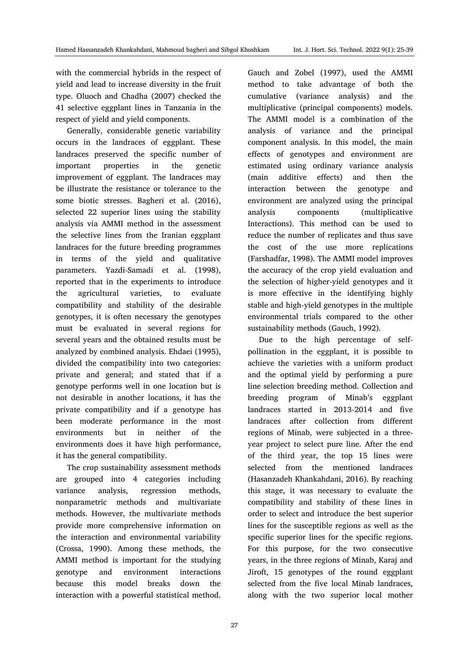with the commercial hybrids in the respect of yield and lead to increase diversity in the fruit type. Oluoch and Chadha (2007) checked the 41 selective eggplant lines in Tanzania in the respect of yield and yield components.

Generally, considerable genetic variability occurs in the landraces of eggplant. These landraces preserved the specific number of important properties in the genetic improvement of eggplant. The landraces may be illustrate the resistance or tolerance to the some biotic stresses. Bagheri et al. (2016), selected 22 superior lines using the stability analysis via AMMI method in the assessment the selective lines from the Iranian eggplant landraces for the future breeding programmes in terms of the yield and qualitative parameters. Yazdi-Samadi et al. (1998), reported that in the experiments to introduce the agricultural varieties, to evaluate compatibility and stability of the desirable genotypes, it is often necessary the genotypes must be evaluated in several regions for several years and the obtained results must be analyzed by combined analysis. Ehdaei (1995), divided the compatibility into two categories: private and general; and stated that if a genotype performs well in one location but is not desirable in another locations, it has the private compatibility and if a genotype has been moderate performance in the most environments but in neither of the environments does it have high performance, it has the general compatibility.

The crop sustainability assessment methods are grouped into 4 categories including variance analysis, regression methods, nonparametric methods and multivariate methods. However, the multivariate methods provide more comprehensive information on the interaction and environmental variability (Crossa, 1990). Among these methods, the AMMI method is important for the studying genotype and environment interactions because this model breaks down the interaction with a powerful statistical method.

Gauch and Zobel (1997), used the AMMI method to take advantage of both the cumulative (variance analysis) and the multiplicative (principal components) models. The AMMI model is a combination of the analysis of variance and the principal component analysis. In this model, the main effects of genotypes and environment are estimated using ordinary variance analysis (main additive effects) and then the interaction between the genotype and environment are analyzed using the principal analysis components (multiplicative Interactions). This method can be used to reduce the number of replicates and thus save the cost of the use more replications (Farshadfar, 1998). The AMMI model improves the accuracy of the crop yield evaluation and the selection of higher-yield genotypes and it is more effective in the identifying highly stable and high-yield genotypes in the multiple environmental trials compared to the other sustainability methods (Gauch, 1992).

Due to the high percentage of selfpollination in the eggplant, it is possible to achieve the varieties with a uniform product and the optimal yield by performing a pure line selection breeding method. Collection and breeding program of Minab's eggplant landraces started in 2013-2014 and five landraces after collection from different regions of Minab, were subjected in a threeyear project to select pure line. After the end of the third year, the top 15 lines were selected from the mentioned landraces (Hasanzadeh Khankahdani, 2016). By reaching this stage, it was necessary to evaluate the compatibility and stability of these lines in order to select and introduce the best superior lines for the susceptible regions as well as the specific superior lines for the specific regions. For this purpose, for the two consecutive years, in the three regions of Minab, Karaj and Jiroft, 15 genotypes of the round eggplant selected from the five local Minab landraces, along with the two superior local mother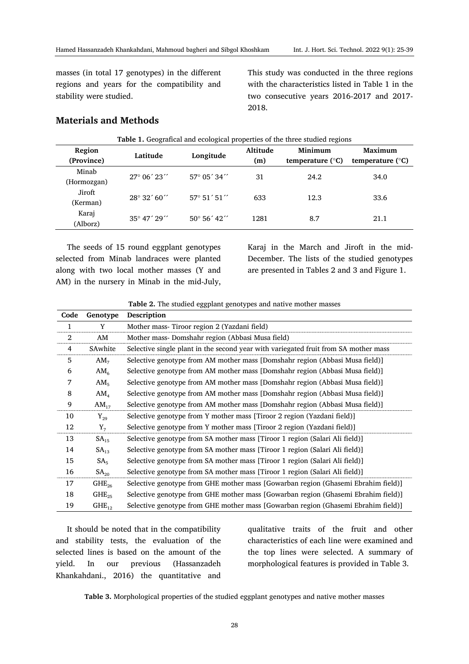masses (in total 17 genotypes) in the different regions and years for the compatibility and stability were studied.

This study was conducted in the three regions with the characteristics listed in Table 1 in the two consecutive years 2016-2017 and 2017- 2018.

# **Materials and Methods**

| <b>Table 1.</b> Geografical and ecological properties of the three studied regions |                                      |                       |          |                           |                           |  |
|------------------------------------------------------------------------------------|--------------------------------------|-----------------------|----------|---------------------------|---------------------------|--|
| Region                                                                             | Latitude                             |                       | Altitude | Minimum                   | Maximum                   |  |
| (Province)                                                                         |                                      | Longitude             | (m)      | temperature $(^{\circ}C)$ | temperature $(^{\circ}C)$ |  |
| Minab                                                                              | $27^{\circ}$ 06' $23^{\prime\prime}$ | $57^{\circ}$ 05' 34"  | 31       | 24.2                      | 34.0                      |  |
| (Hormozgan)                                                                        |                                      |                       |          |                           |                           |  |
| Jiroft                                                                             | $28^{\circ}32'60''$                  | $57^{\circ} 51' 51''$ | 633      | 12.3                      | 33.6                      |  |
| (Kerman)                                                                           |                                      |                       |          |                           |                           |  |
| Karaj                                                                              | $35^{\circ}$ 47' $29''$              | $50^{\circ} 56' 42''$ | 1281     | 8.7                       | 21.1                      |  |
| (Alborz)                                                                           |                                      |                       |          |                           |                           |  |

The seeds of 15 round eggplant genotypes selected from Minab landraces were planted along with two local mother masses (Y and AM) in the nursery in Minab in the mid-July,

Karaj in the March and Jiroft in the mid-December. The lists of the studied genotypes are presented in Tables 2 and 3 and Figure 1.

**Table 2.** The studied eggplant genotypes and native mother masses

| Code | Genotype         | Description                                                                         |
|------|------------------|-------------------------------------------------------------------------------------|
| 1    | Y                | Mother mass- Tiroor region 2 (Yazdani field)                                        |
| 2    | AM               | Mother mass-Domshahr region (Abbasi Musa field)                                     |
| 4    | SAwhite          | Selective single plant in the second year with variegated fruit from SA mother mass |
| 5    | AM <sub>7</sub>  | Selective genotype from AM mother mass [Domshahr region (Abbasi Musa field)]        |
| 6    | AM <sub>6</sub>  | Selective genotype from AM mother mass [Domshahr region (Abbasi Musa field)]        |
| 7    | AM <sub>5</sub>  | Selective genotype from AM mother mass [Domshahr region (Abbasi Musa field)]        |
| 8    | AM <sub>4</sub>  | Selective genotype from AM mother mass [Domshahr region (Abbasi Musa field)]        |
| 9    | $AM_{17}$        | Selective genotype from AM mother mass [Domshahr region (Abbasi Musa field)]        |
| 10   | $Y_{29}$         | Selective genotype from Y mother mass [Tiroor 2 region (Yazdani field)]             |
| 12   | $Y_7$            | Selective genotype from Y mother mass [Tiroor 2 region (Yazdani field)]             |
| 13   | SA <sub>15</sub> | Selective genotype from SA mother mass [Tiroor 1 region (Salari Ali field)]         |
| 14   | SA <sub>13</sub> | Selective genotype from SA mother mass [Tiroor 1 region (Salari Ali field)]         |
| 15   | SA <sub>5</sub>  | Selective genotype from SA mother mass [Tiroor 1 region (Salari Ali field)]         |
| 16   | SA <sub>20</sub> | Selective genotype from SA mother mass [Tiroor 1 region (Salari Ali field)]         |
| 17   | $GHE_{26}$       | Selective genotype from GHE mother mass [Gowarban region (Ghasemi Ebrahim field)]   |
| 18   | $GHE_{25}$       | Selective genotype from GHE mother mass [Gowarban region (Ghasemi Ebrahim field)]   |
| 19   | $GHE_{12}$       | Selective genotype from GHE mother mass [Gowarban region (Ghasemi Ebrahim field)]   |

It should be noted that in the compatibility and stability tests, the evaluation of the selected lines is based on the amount of the yield. In our previous (Hassanzadeh Khankahdani., 2016) the quantitative and qualitative traits of the fruit and other characteristics of each line were examined and the top lines were selected. A summary of morphological features is provided in Table 3.

**Table 3.** Morphological properties of the studied eggplant genotypes and native mother masses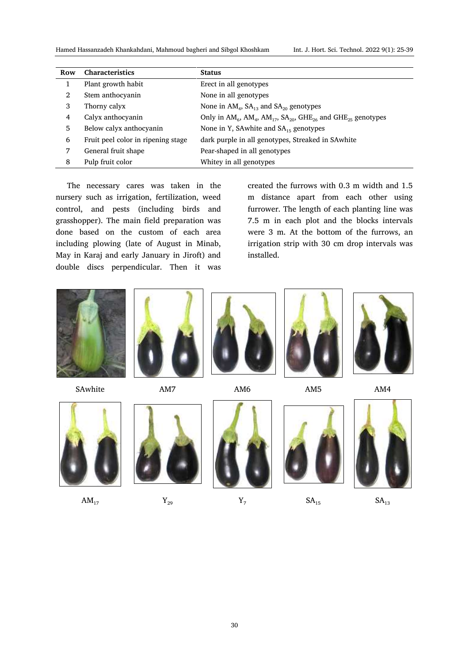Hamed Hassanzadeh Khankahdani, Mahmoud bagheri and Sibgol Khoshkam Int. J. Hort. Sci. Technol. 2022 9(1): 52-39

| Row | <b>Characteristics</b>             | <b>Status</b>                                                                         |
|-----|------------------------------------|---------------------------------------------------------------------------------------|
|     | Plant growth habit                 | Erect in all genotypes                                                                |
| 2   | Stem anthocyanin                   | None in all genotypes                                                                 |
| 3   | Thorny calyx                       | None in $AM_4$ , $SA_{13}$ and $SA_{20}$ genotypes                                    |
| 4   | Calyx anthocyanin                  | Only in $AM_6$ , $AM_4$ , $AM_{17}$ , $SA_{20}$ , $GHE_{26}$ and $GHE_{25}$ genotypes |
| 5   | Below calyx anthocyanin            | None in Y, SAwhite and $SA_{15}$ genotypes                                            |
| 6   | Fruit peel color in ripening stage | dark purple in all genotypes, Streaked in SAwhite                                     |
| 7   | General fruit shape                | Pear-shaped in all genotypes                                                          |
| 8   | Pulp fruit color                   | Whitey in all genotypes                                                               |

The necessary cares was taken in the nursery such as irrigation, fertilization, weed control, and pests (including birds and grasshopper). The main field preparation was done based on the custom of each area including plowing (late of August in Minab, May in Karaj and early January in Jiroft) and double discs perpendicular. Then it was created the furrows with 0.3 m width and 1.5 m distance apart from each other using furrower. The length of each planting line was 7.5 m in each plot and the blocks intervals were 3 m. At the bottom of the furrows, an irrigation strip with 30 cm drop intervals was installed.



SAwhite AM7 AM6 AM5 AM4













 $AM_{17}$   $Y_{29}$   $Y_7$   $SA_{15}$   $SA_{15}$   $SA_{13}$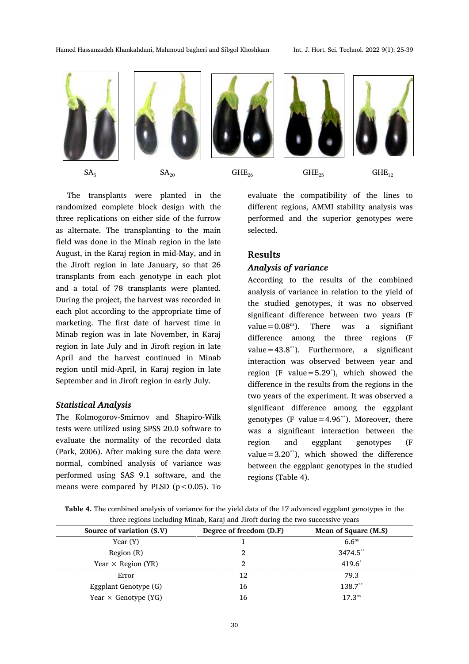

The transplants were planted in the randomized complete block design with the three replications on either side of the furrow as alternate. The transplanting to the main field was done in the Minab region in the late August, in the Karaj region in mid-May, and in the Jiroft region in late January, so that 26 transplants from each genotype in each plot and a total of 78 transplants were planted. During the project, the harvest was recorded in each plot according to the appropriate time of marketing. The first date of harvest time in Minab region was in late November, in Karaj region in late July and in Jiroft region in late April and the harvest continued in Minab region until mid-April, in Karaj region in late September and in Jiroft region in early July.

### *Statistical Analysis*

The Kolmogorov-Smirnov and Shapiro-Wilk tests were utilized using SPSS 20.0 software to evaluate the normality of the recorded data (Park, 2006). After making sure the data were normal, combined analysis of variance was performed using SAS 9.1 software, and the means were compared by PLSD ( $p < 0.05$ ). To evaluate the compatibility of the lines to different regions, AMMI stability analysis was performed and the superior genotypes were selected.

# **Results**

#### *Analysis of variance*

According to the results of the combined analysis of variance in relation to the yield of the studied genotypes, it was no observed significant difference between two years (F value= $0.08<sup>ns</sup>$ ). There was a signifiant difference among the three regions (F value= $43.8^{**}$ ). Furthermore, a significant interaction was observed between year and region (F value=5.29\* ), which showed the difference in the results from the regions in the two years of the experiment. It was observed a significant difference among the eggplant genotypes (F value=4.96<sup>\*\*</sup>). Moreover, there was a significant interaction between the region and eggplant genotypes (F value =  $3.20^{**}$ ), which showed the difference between the eggplant genotypes in the studied regions (Table 4).

**Table 4.** The combined analysis of variance for the yield data of the 17 advanced eggplant genotypes in the three regions including Minab, Karaj and Jiroft during the two successive years

| Source of variation (S.V)   | Degree of freedom (D.F) | Mean of Square (M.S) |  |
|-----------------------------|-------------------------|----------------------|--|
| Year (Y)                    |                         | 6.6 <sup>ns</sup>    |  |
| Region (R)                  |                         | $3474.5$ **          |  |
| Year $\times$ Region (YR)   |                         | $419.6^*$            |  |
| Error                       |                         | 79.3                 |  |
| Eggplant Genotype (G)       | 16                      | $1387**$             |  |
| Year $\times$ Genotype (YG) | 16                      | $17.3$ <sup>ns</sup> |  |
|                             |                         |                      |  |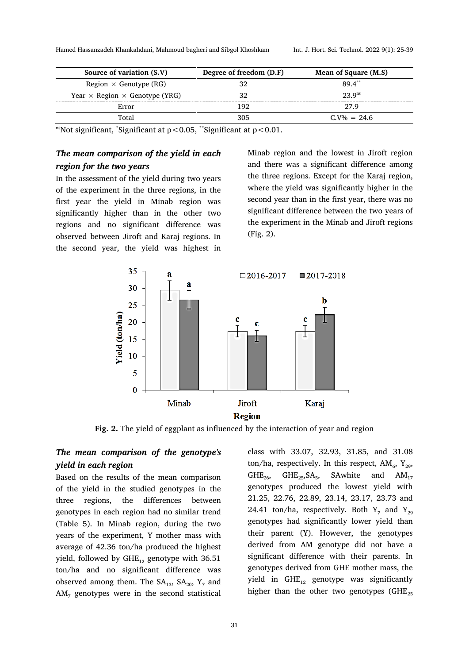| Source of variation (S.V)                    | Degree of freedom (D.F) | Mean of Square (M.S) |
|----------------------------------------------|-------------------------|----------------------|
| Region $\times$ Genotype (RG)                | 32                      | 89.4**               |
| Year $\times$ Region $\times$ Genotype (YRG) | 32                      | 2.3.9 <sup>ns</sup>  |
| Error                                        | 192                     | 27.9                 |
| Total                                        | 305                     | $C V\% = 24.6$       |

 $\text{m}$ Not significant,  $\text{``Significant at p} < 0.05, \text{``Significant at p} < 0.01.$ 

# *The mean comparison of the yield in each region for the two years*

In the assessment of the yield during two years of the experiment in the three regions, in the first year the yield in Minab region was significantly higher than in the other two regions and no significant difference was observed between Jiroft and Karaj regions. In the second year, the yield was highest in Minab region and the lowest in Jiroft region and there was a significant difference among the three regions. Except for the Karaj region, where the yield was significantly higher in the second year than in the first year, there was no significant difference between the two years of the experiment in the Minab and Jiroft regions (Fig. 2).



**Fig. 2.** The yield of eggplant as influenced by the interaction of year and region

# *The mean comparison of the genotype's yield in each region*

Based on the results of the mean comparison of the yield in the studied genotypes in the three regions, the differences between genotypes in each region had no similar trend (Table 5). In Minab region, during the two years of the experiment, Y mother mass with average of 42.36 ton/ha produced the highest yield, followed by  $GHE_{12}$  genotype with 36.51 ton/ha and no significant difference was observed among them. The  $SA<sub>13</sub>$ ,  $SA<sub>20</sub>$ ,  $Y<sub>7</sub>$  and  $AM<sub>7</sub>$  genotypes were in the second statistical

class with 33.07, 32.93, 31.85, and 31.08 ton/ha, respectively. In this respect,  $AM_6$ ,  $Y_{29}$ ,  $GHE_{26}$ ,  $GHE_{25}$ ,  $SA_5$ , SAwhite and  $AM_{17}$ genotypes produced the lowest yield with 21.25, 22.76, 22.89, 23.14, 23.17, 23.73 and 24.41 ton/ha, respectively. Both  $Y_7$  and  $Y_{29}$ genotypes had significantly lower yield than their parent (Y). However, the genotypes derived from AM genotype did not have a significant difference with their parents. In genotypes derived from GHE mother mass, the yield in  $GHE_{12}$  genotype was significantly higher than the other two genotypes  $(GHE_{25})$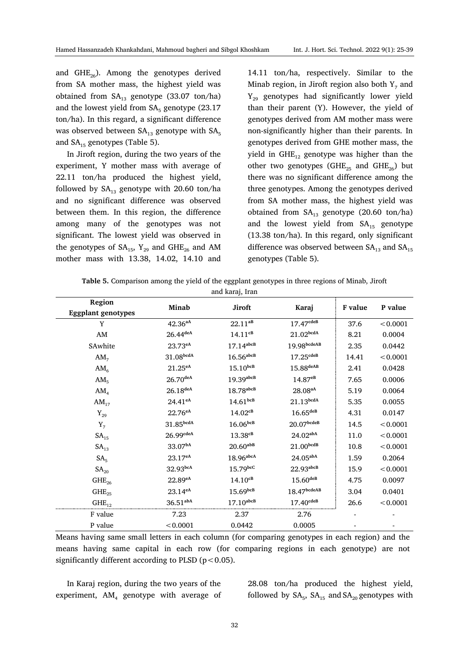and GHE<sub>26</sub>). Among the genotypes derived from SA mother mass, the highest yield was obtained from  $SA<sub>13</sub>$  genotype (33.07 ton/ha) and the lowest yield from  $SA<sub>5</sub>$  genotype (23.17) ton/ha). In this regard, a significant difference was observed between  $SA<sub>13</sub>$  genotype with  $SA<sub>5</sub>$ and  $SA<sub>15</sub>$  genotypes (Table 5).

In Jiroft region, during the two years of the experiment, Y mother mass with average of 22.11 ton/ha produced the highest yield, followed by  $SA<sub>13</sub>$  genotype with 20.60 ton/ha and no significant difference was observed between them. In this region, the difference among many of the genotypes was not significant. The lowest yield was observed in the genotypes of  $SA_{15}$ ,  $Y_{29}$  and  $GHE_{26}$  and AM mother mass with 13.38, 14.02, 14.10 and

14.11 ton/ha, respectively. Similar to the Minab region, in Jiroft region also both  $Y_7$  and  $Y_{29}$  genotypes had significantly lower yield than their parent (Y). However, the yield of genotypes derived from AM mother mass were non-significantly higher than their parents. In genotypes derived from GHE mother mass, the yield in  $GHE_{12}$  genotype was higher than the other two genotypes (GHE<sub>25</sub> and GHE<sub>26</sub>) but there was no significant difference among the three genotypes. Among the genotypes derived from SA mother mass, the highest yield was obtained from  $SA<sub>13</sub>$  genotype (20.60 ton/ha) and the lowest yield from  $SA<sub>15</sub>$  genotype (13.38 ton/ha). In this regard, only significant difference was observed between  $SA<sub>13</sub>$  and  $SA<sub>15</sub>$ genotypes (Table 5).

| and karaj, Iran           |                        |                         |                         |         |          |
|---------------------------|------------------------|-------------------------|-------------------------|---------|----------|
| Region                    | Minab                  | Jiroft                  |                         | F value | P value  |
| <b>Eggplant genotypes</b> |                        |                         | Karaj                   |         |          |
| v                         | $42.36^{aA}$           | $22.11^{ab}$            | 17.47 <sup>cdeB</sup>   | 37.6    | < 0.0001 |
| AM                        | $26.44$ <sup>deA</sup> | $14.11^{cB}$            | 21.02 <sup>bcdA</sup>   | 8.21    | 0.0004   |
| SAwhite                   | $23.73^{eA}$           | $17.14$ <sup>abcB</sup> | 19.98 <sub>bcdeAB</sub> | 2.35    | 0.0442   |
|                           |                        |                         |                         |         |          |

AM<sub>7</sub> 31.08<sup>bcdA</sup> 16.56<sup>abcB</sup> 17.25<sup>cdeB</sup> 14.41 <0.0001 AM<sup>6</sup> 21.25**eA** 15.10**bcB** 15.88**deAB** 2.41 0.0428

**Table 5.** Comparison among the yield of the eggplant genotypes in three regions of Minab, Jiroft

| AM <sub>5</sub>  | $26.70$ <sup>deA</sup> | $19.39$ <sub>abcB</sub> | $14.87e^{B}$           | 7.65 | 0.0006   |
|------------------|------------------------|-------------------------|------------------------|------|----------|
| AM <sub>4</sub>  | $26.18$ <sub>deA</sub> | $18.78$ <sup>abcB</sup> | $28.08^{aA}$           | 5.19 | 0.0064   |
| $AM_{17}$        | $24.41^{eA}$           | $14.61$ <sub>bcB</sub>  | 21.13 <sup>bcdA</sup>  | 5.35 | 0.0055   |
| $Y_{29}$         | $22.76^{eA}$           | $14.02^{cB}$            | $16.65$ deB            | 4.31 | 0.0147   |
| $Y_7$            | 31.85 <sup>bcdA</sup>  | $16.06$ <sub>bcB</sub>  | $20.07$ bcdeB          | 14.5 | < 0.0001 |
| SA <sub>15</sub> | $26.99$ cdeA           | $13.38^{cB}$            | $24.02^{abA}$          | 11.0 | < 0.0001 |
| SA <sub>13</sub> | 33.07bA                | $20.60$ <sup>abB</sup>  | 21.00 <sup>bcdB</sup>  | 10.8 | < 0.0001 |
| SA <sub>5</sub>  | $23.17^{eA}$           | $18.96$ <sup>abcA</sup> | 24.05 <sup>aba</sup>   | 1.59 | 0.2064   |
| SA <sub>20</sub> | 32.93 <sup>bcA</sup>   | $15.79$ bcC             | $22.93$ abcB           | 15.9 | < 0.0001 |
| $GHE_{26}$       | $22.89^{eA}$           | $14.10^{cB}$            | $15.60$ <sup>deB</sup> | 4.75 | 0.0097   |
| $GHE_{25}$       | $23.14^{eA}$           | $15.69$ <sub>bcB</sub>  | $18.47$ bcdeAB         | 3.04 | 0.0401   |
| $GHE_{12}$       | $36.51$ abA            | $17.10$ abcB            | 17.40 <sub>cdeB</sub>  | 26.6 | < 0.0001 |
| F value          | 7.23                   | 2.37                    | 2.76                   |      |          |
| P value          | < 0.0001               | 0.0442                  | 0.0005                 |      |          |

Means having same small letters in each column (for comparing genotypes in each region) and the means having same capital in each row (for comparing regions in each genotype) are not significantly different according to PLSD ( $p < 0.05$ ).

In Karaj region, during the two years of the experiment,  $AM<sub>4</sub>$  genotype with average of 28.08 ton/ha produced the highest yield, followed by  $SA<sub>5</sub>$ ,  $SA<sub>15</sub>$  and  $SA<sub>20</sub>$  genotypes with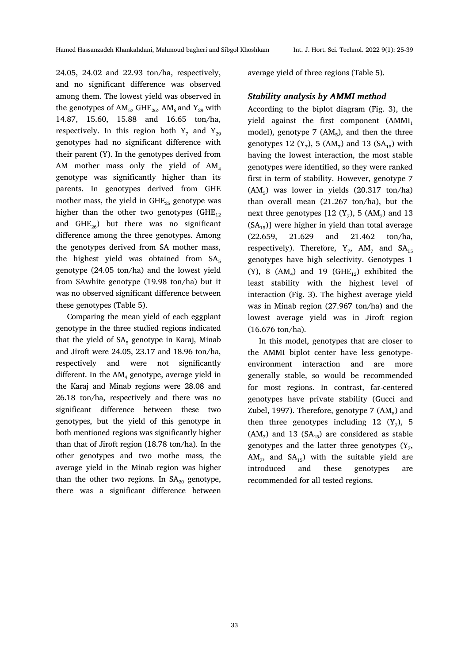24.05, 24.02 and 22.93 ton/ha, respectively, and no significant difference was observed among them. The lowest yield was observed in the genotypes of  $AM_5$ ,  $GHE_{26}$ ,  $AM_6$  and  $Y_{29}$  with 14.87, 15.60, 15.88 and 16.65 ton/ha, respectively. In this region both  $Y_7$  and  $Y_{29}$ genotypes had no significant difference with their parent (Y). In the genotypes derived from AM mother mass only the yield of  $AM<sub>4</sub>$ genotype was significantly higher than its parents. In genotypes derived from GHE mother mass, the yield in  $GHE_{25}$  genotype was higher than the other two genotypes  $(GHE_{12})$ and  $GHE_{26}$ ) but there was no significant difference among the three genotypes. Among the genotypes derived from SA mother mass, the highest yield was obtained from  $SA<sub>5</sub>$ genotype (24.05 ton/ha) and the lowest yield from SAwhite genotype (19.98 ton/ha) but it was no observed significant difference between these genotypes (Table 5).

Comparing the mean yield of each eggplant genotype in the three studied regions indicated that the yield of  $SA<sub>5</sub>$  genotype in Karaj, Minab and Jiroft were 24.05, 23.17 and 18.96 ton/ha, respectively and were not significantly different. In the  $AM<sub>4</sub>$  genotype, average yield in the Karaj and Minab regions were 28.08 and 26.18 ton/ha, respectively and there was no significant difference between these two genotypes, but the yield of this genotype in both mentioned regions was significantly higher than that of Jiroft region (18.78 ton/ha). In the other genotypes and two mothe mass, the average yield in the Minab region was higher than the other two regions. In  $SA_{20}$  genotype, there was a significant difference between

average yield of three regions (Table 5).

# *Stability analysis by AMMI method*

According to the biplot diagram (Fig. 3), the yield against the first component  $(AMMI<sub>1</sub>)$ model), genotype  $7 \, (AM<sub>5</sub>)$ , and then the three genotypes 12  $(Y_7)$ , 5  $(AM_7)$  and 13  $(SA_{15})$  with having the lowest interaction, the most stable genotypes were identified, so they were ranked first in term of stability. However, genotype 7  $(AM<sub>5</sub>)$  was lower in yields  $(20.317 \text{ ton/ha})$ than overall mean (21.267 ton/ha), but the next three genotypes  $[12 (Y_7), 5 (AM_7)$  and 13  $(SA_{15})$ ] were higher in yield than total average (22.659, 21.629 and 21.462 ton/ha, respectively). Therefore,  $Y_7$ ,  $AM_7$  and  $SA_{15}$ genotypes have high selectivity. Genotypes 1 (Y), 8  $(AM_4)$  and 19  $(GHE_{12})$  exhibited the least stability with the highest level of interaction (Fig. 3). The highest average yield was in Minab region (27.967 ton/ha) and the lowest average yield was in Jiroft region (16.676 ton/ha).

In this model, genotypes that are closer to the AMMI biplot center have less genotypeenvironment interaction and are more generally stable, so would be recommended for most regions. In contrast, far-centered genotypes have private stability (Gucci and Zubel, 1997). Therefore, genotype  $7 \, (\text{AM}_5)$  and then three genotypes including 12  $(Y_7)$ , 5  $(AM_7)$  and 13  $(SA_{15})$  are considered as stable genotypes and the latter three genotypes  $(Y_7, Y_8, Z_9)$  $AM_7$ , and  $SA_{15}$ ) with the suitable yield are introduced and these genotypes are recommended for all tested regions.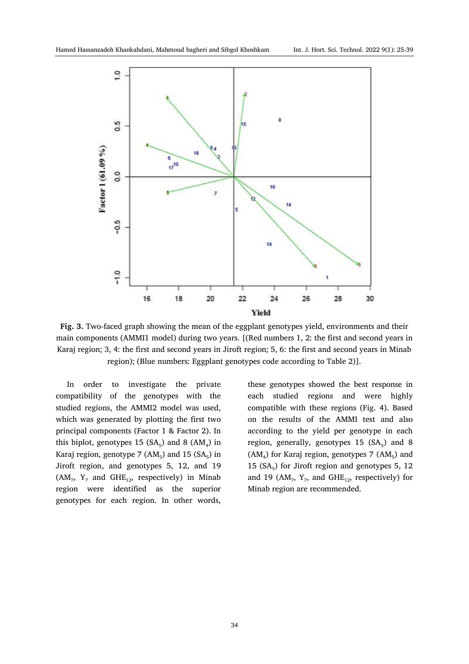

**Fig. 3.** Two-faced graph showing the mean of the eggplant genotypes yield, environments and their main components (AMMI1 model) during two years. [(Red numbers 1, 2: the first and second years in Karaj region; 3, 4: the first and second years in Jiroft region; 5, 6: the first and second years in Minab region); (Blue numbers: Eggplant genotypes code according to Table 2)].

In order to investigate the private compatibility of the genotypes with the studied regions, the AMMI2 model was used, which was generated by plotting the first two principal components (Factor 1 & Factor 2). In this biplot, genotypes 15  $(SA_5)$  and 8  $(AM_4)$  in Karaj region, genotype 7  $(AM<sub>5</sub>)$  and 15  $(SA<sub>5</sub>)$  in Jiroft region, and genotypes 5, 12, and 19  $(AM_7, Y_7$  and  $GHE_{12}$ , respectively) in Minab region were identified as the superior genotypes for each region. In other words,

these genotypes showed the best response in each studied regions and were highly compatible with these regions (Fig. 4). Based on the results of the AMMI test and also according to the yield per genotype in each region, generally, genotypes  $15$  (SA<sub>5</sub>) and 8  $(AM_4)$  for Karaj region, genotypes 7  $(AM_5)$  and 15  $(SA<sub>5</sub>)$  for Jiroft region and genotypes 5, 12 and 19 ( $AM_7$ ,  $Y_7$ , and  $GHE_{12}$ , respectively) for Minab region are recommended.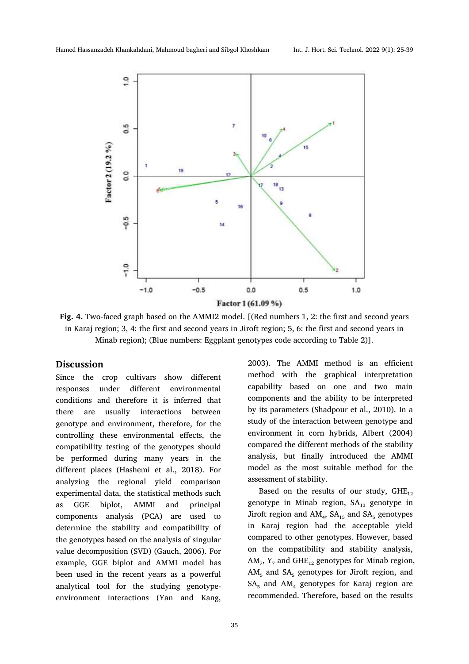

**Fig. 4.** Two-faced graph based on the AMMI2 model. [(Red numbers 1, 2: the first and second years in Karaj region; 3, 4: the first and second years in Jiroft region; 5, 6: the first and second years in Minab region); (Blue numbers: Eggplant genotypes code according to Table 2)].

### **Discussion**

Since the crop cultivars show different responses under different environmental conditions and therefore it is inferred that there are usually interactions between genotype and environment, therefore, for the controlling these environmental effects, the compatibility testing of the genotypes should be performed during many years in the different places (Hashemi et al., 2018). For analyzing the regional yield comparison experimental data, the statistical methods such as GGE biplot, AMMI and principal components analysis (PCA) are used to determine the stability and compatibility of the genotypes based on the analysis of singular value decomposition (SVD) (Gauch, 2006). For example, GGE biplot and AMMI model has been used in the recent years as a powerful analytical tool for the studying genotypeenvironment interactions (Yan and Kang,

compared to other genotypes. However, based on the compatibility and stability analysis,  $AM_{7}$ ,  $Y_{7}$  and  $GHE_{12}$  genotypes for Minab region,  $AM<sub>5</sub>$  and  $SA<sub>5</sub>$  genotypes for Jiroft region, and  $SA<sub>5</sub>$  and  $AM<sub>4</sub>$  genotypes for Karaj region are

assessment of stability.

2003). The AMMI method is an efficient method with the graphical interpretation capability based on one and two main components and the ability to be interpreted by its parameters (Shadpour et al., 2010). In a study of the interaction between genotype and environment in corn hybrids, Albert (2004) compared the different methods of the stability analysis, but finally introduced the AMMI model as the most suitable method for the

Based on the results of our study,  $GHE_{12}$ genotype in Minab region,  $SA<sub>13</sub>$  genotype in Jiroft region and  $AM_4$ ,  $SA_{15}$  and  $SA_5$  genotypes in Karaj region had the acceptable yield

recommended. Therefore, based on the results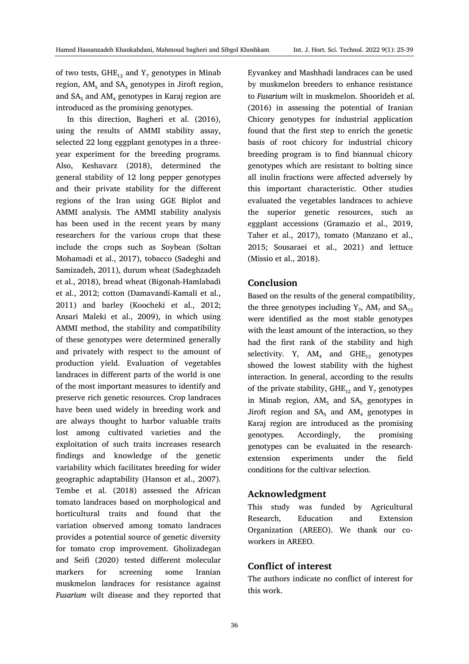of two tests,  $GHE_{12}$  and Y<sub>7</sub> genotypes in Minab region,  $AM<sub>5</sub>$  and  $SA<sub>5</sub>$  genotypes in Jiroft region, and  $SA<sub>5</sub>$  and  $AM<sub>4</sub>$  genotypes in Karaj region are introduced as the promising genotypes.

In this direction, Bagheri et al. (2016), using the results of AMMI stability assay, selected 22 long eggplant genotypes in a threeyear experiment for the breeding programs. Also, Keshavarz (2018), determined the general stability of 12 long pepper genotypes and their private stability for the different regions of the Iran using GGE Biplot and AMMI analysis. The AMMI stability analysis has been used in the recent years by many researchers for the various crops that these include the crops such as Soybean (Soltan Mohamadi et al., 2017), tobacco (Sadeghi and Samizadeh, 2011), durum wheat (Sadeghzadeh et al., 2018), bread wheat (Bigonah-Hamlabadi et al., 2012; cotton (Damavandi-Kamali et al., 2011) and barley (Koocheki et al., 2012; Ansari Maleki et al., 2009), in which using AMMI method, the stability and compatibility of these genotypes were determined generally and privately with respect to the amount of production yield. Evaluation of vegetables landraces in different parts of the world is one of the most important measures to identify and preserve rich genetic resources. Crop landraces have been used widely in breeding work and are always thought to harbor valuable traits lost among cultivated varieties and the exploitation of such traits increases research findings and knowledge of the genetic variability which facilitates breeding for wider geographic adaptability (Hanson et al., 2007). Tembe et al. (2018) assessed the African tomato landraces based on morphological and horticultural traits and found that the variation observed among tomato landraces provides a potential source of genetic diversity for tomato crop improvement. Gholizadegan and Seifi (2020) tested different molecular markers for screening some Iranian muskmelon landraces for resistance against *Fusarium* wilt disease and they reported that Eyvankey and Mashhadi landraces can be used by muskmelon breeders to enhance resistance to *Fusarium* wilt in muskmelon. Shoorideh et al. (2016) in assessing the potential of Iranian Chicory genotypes for industrial application found that the first step to enrich the genetic basis of root chicory for industrial chicory breeding program is to find biannual chicory genotypes which are resistant to bolting since all inulin fractions were affected adversely by this important characteristic. Other studies evaluated the vegetables landraces to achieve the superior genetic resources, such as eggplant accessions (Gramazio et al., 2019, Taher et al., 2017), tomato (Manzano et al., 2015; Sousaraei et al., 2021) and lettuce (Missio et al., 2018).

# **Conclusion**

Based on the results of the general compatibility, the three genotypes including  $Y_7$ , AM<sub>7</sub> and SA<sub>15</sub> were identified as the most stable genotypes with the least amount of the interaction, so they had the first rank of the stability and high selectivity. Y,  $AM_4$  and  $GHE_{12}$  genotypes showed the lowest stability with the highest interaction. In general, according to the results of the private stability, GHE<sub>12</sub> and Y<sub>7</sub> genotypes in Minab region,  $AM<sub>5</sub>$  and  $SA<sub>5</sub>$  genotypes in Jiroft region and  $SA<sub>5</sub>$  and  $AM<sub>4</sub>$  genotypes in Karaj region are introduced as the promising genotypes. Accordingly, the promising genotypes can be evaluated in the researchextension experiments under the field conditions for the cultivar selection.

# **Acknowledgment**

This study was funded by Agricultural Research, Education and Extension Organization (AREEO). We thank our coworkers in AREEO.

# **Conflict of interest**

The authors indicate no conflict of interest for this work.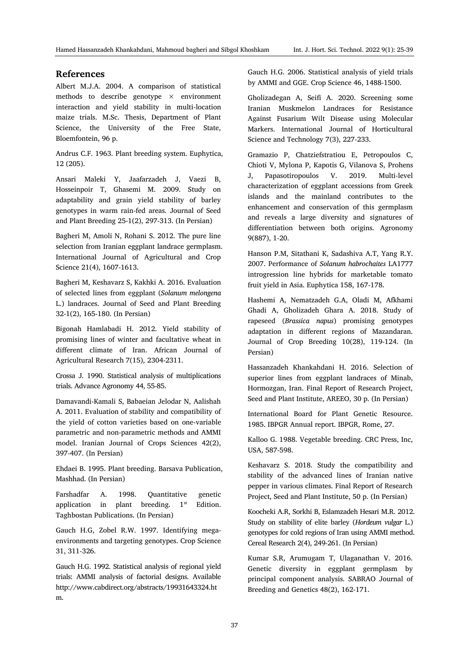# **References**

Albert M.J.A. 2004. A comparison of statistical methods to describe genotype  $\times$  environment interaction and yield stability in multi-location maize trials. M.Sc. Thesis, Department of Plant Science, the University of the Free State, Bloemfontein, 96 p.

Andrus C.F. 1963. Plant breeding system. Euphytica, 12 (205).

Ansari Maleki Y, Jaafarzadeh J, Vaezi B, Hosseinpoir T, Ghasemi M. 2009. Study on adaptability and grain yield stability of barley genotypes in warm rain-fed areas. Journal of Seed and Plant Breeding 25-1(2), 297-313. (In Persian)

Bagheri M, Amoli N, Rohani S. 2012. The pure line selection from Iranian eggplant landrace germplasm. International Journal of Agricultural and Crop Science 21(4), 1607-1613.

Bagheri M, Keshavarz S, Kakhki A. 2016. Evaluation of selected lines from eggplant (*Solanum melongena*  L.) landraces. Journal of Seed and Plant Breeding 32-1(2), 165-180. (In Persian)

Bigonah Hamlabadi H. 2012. Yield stability of promising lines of winter and facultative wheat in different climate of Iran. African Journal of Agricultural Research 7(15), 2304-2311.

Crossa J. 1990. Statistical analysis of multiplications trials. Advance Agronomy 44, 55-85.

Damavandi-Kamali S, Babaeian Jelodar N, Aalishah A. 2011. Evaluation of stability and compatibility of the yield of cotton varieties based on one-variable parametric and non-parametric methods and AMMI model. Iranian Journal of Crops Sciences 42(2), 397-407. (In Persian)

Ehdaei B. 1995. Plant breeding. Barsava Publication, Mashhad. (In Persian)

Farshadfar A. 1998. Quantitative genetic application in plant breeding.  $1<sup>st</sup>$  Edition. Taghbostan Publications. (In Persian)

Gauch H.G, Zobel R.W. 1997. Identifying megaenvironments and targeting genotypes. Crop Science 31, 311-326.

Gauch H.G. 1992. Statistical analysis of regional yield trials: AMMI analysis of factorial designs. Available http://www.cabdirect.org/abstracts/19931643324.ht m.

Gauch H.G. 2006. Statistical analysis of yield trials by AMMI and GGE. Crop Science 46, 1488-1500.

Gholizadegan A, Seifi A. 2020. Screening some Iranian Muskmelon Landraces for Resistance Against Fusarium Wilt Disease using Molecular Markers. International Journal of Horticultural Science and Technology 7(3), 227-233.

Gramazio P, Chatziefstratiou E, Petropoulos C, Chioti V, Mylona P, Kapotis G, Vilanova S, Prohens J, Papasotiropoulos V. 2019. Multi-level characterization of eggplant accessions from Greek islands and the mainland contributes to the enhancement and conservation of this germplasm and reveals a large diversity and signatures of differentiation between both origins. Agronomy 9(887), 1-20.

Hanson P.M, Sitathani K, Sadashiva A.T, Yang R.Y. 2007. Performance of *Solanum habrochaites* LA1777 introgression line hybrids for marketable tomato fruit yield in Asia. Euphytica 158, 167-178.

Hashemi A, Nematzadeh G.A, Oladi M, Afkhami Ghadi A, Gholizadeh Ghara A. 2018. Study of rapeseed (*Brassica napus*) promising genotypes adaptation in different regions of Mazandaran. Journal of Crop Breeding 10(28), 119-124. (In Persian)

Hassanzadeh Khankahdani H. 2016. Selection of superior lines from eggplant landraces of Minab, Hormozgan, Iran. Final Report of Research Project, Seed and Plant Institute, AREEO, 30 p. (In Persian)

International Board for Plant Genetic Resource. 1985. IBPGR Annual report. IBPGR, Rome, 27.

Kalloo G. 1988. Vegetable breeding. CRC Press, Inc, USA, 587-598.

Keshavarz S. 2018. Study the compatibility and stability of the advanced lines of Iranian native pepper in various climates. Final Report of Research Project, Seed and Plant Institute, 50 p. (In Persian)

Koocheki A.R, Sorkhi B, Eslamzadeh Hesari M.R. 2012. Study on stability of elite barley (*Hordeum vulgar* L.) genotypes for cold regions of Iran using AMMI method. Cereal Research 2(4), 249-261. (In Persian)

Kumar S.R, Arumugam T, Ulaganathan V. 2016. Genetic diversity in eggplant germplasm by principal component analysis. SABRAO Journal of Breeding and Genetics 48(2), 162-171.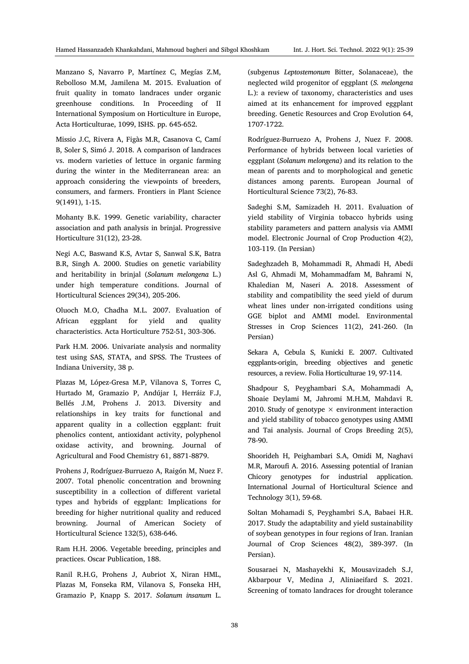Manzano S, Navarro P, Martínez C, Megías Z.M, Rebolloso M.M, Jamilena M. 2015. Evaluation of fruit quality in tomato landraces under organic greenhouse conditions. In Proceeding of II International Symposium on Horticulture in Europe, Acta Horticulturae, 1099, ISHS. pp. 645-652.

Missio J.C, Rivera A, Figàs M.R, Casanova C, Camí B, Soler S, Simó J. 2018. A comparison of landraces vs. modern varieties of lettuce in organic farming during the winter in the Mediterranean area: an approach considering the viewpoints of breeders, consumers, and farmers. Frontiers in Plant Science 9(1491), 1-15.

Mohanty B.K. 1999. Genetic variability, character association and path analysis in brinjal. Progressive Horticulture 31(12), 23-28.

Negi A.C, Baswand K.S, Avtar S, Sanwal S.K, Batra B.R, Singh A. 2000. Studies on genetic variability and heritability in brinjal (*Solanum melongena* L.) under high temperature conditions. Journal of Horticultural Sciences 29(34), 205-206.

Oluoch M.O, Chadha M.L. 2007. Evaluation of African eggplant for yield and quality characteristics. Acta Horticulture 752-51, 303-306.

Park H.M. 2006. Univariate analysis and normality test using SAS, STATA, and SPSS. The Trustees of Indiana University, 38 p.

Plazas M, López-Gresa M.P, Vilanova S, Torres C, Hurtado M, Gramazio P, Andújar I, Herráiz F.J, Bellés J.M, Prohens J. 2013. Diversity and relationships in key traits for functional and apparent quality in a collection eggplant: fruit phenolics content, antioxidant activity, polyphenol oxidase activity, and browning. Journal of Agricultural and Food Chemistry 61, 8871-8879.

Prohens J, Rodríguez-Burruezo A, Raigón M, Nuez F. 2007. Total phenolic concentration and browning susceptibility in a collection of different varietal types and hybrids of eggplant: Implications for breeding for higher nutritional quality and reduced browning. Journal of American Society of Horticultural Science 132(5), 638-646.

Ram H.H. 2006. Vegetable breeding, principles and practices. Oscar Publication, 188.

Ranil R.H.G, Prohens J, Aubriot X, Niran HML, Plazas M, Fonseka RM, Vilanova S, Fonseka HH, Gramazio P, Knapp S. 2017. *Solanum insanum* L.

(subgenus *Leptostemonum* Bitter, Solanaceae), the neglected wild progenitor of eggplant (*S. melongena* L.): a review of taxonomy, characteristics and uses aimed at its enhancement for improved eggplant breeding. Genetic Resources and Crop Evolution 64, 1707-1722.

Rodríguez-Burruezo A, Prohens J, Nuez F. 2008. Performance of hybrids between local varieties of eggplant (*Solanum melongena*) and its relation to the mean of parents and to morphological and genetic distances among parents. European Journal of Horticultural Science 73(2), 76-83.

Sadeghi S.M, Samizadeh H. 2011. Evaluation of yield stability of Virginia tobacco hybrids using stability parameters and pattern analysis via AMMI model. Electronic Journal of Crop Production 4(2), 103-119. (In Persian)

Sadeghzadeh B, Mohammadi R, Ahmadi H, Abedi Asl G, Ahmadi M, Mohammadfam M, Bahrami N, Khaledian M, Naseri A. 2018. Assessment of stability and compatibility the seed yield of durum wheat lines under non-irrigated conditions using GGE biplot and AMMI model. Environmental Stresses in Crop Sciences 11(2), 241-260. (In Persian)

Sekara A, Cebula S, Kunicki E. 2007. Cultivated eggplants-origin, breeding objectives and genetic resources, a review. Folia Horticulturae 19, 97-114.

Shadpour S, Peyghambari S.A, Mohammadi A, Shoaie Deylami M, Jahromi M.H.M, Mahdavi R. 2010. Study of genotype  $\times$  environment interaction and yield stability of tobacco genotypes using AMMI and Tai analysis. Journal of Crops Breeding 2(5), 78-90.

Shoorideh H, Peighambari S.A, Omidi M, Naghavi M.R, Maroufi A. 2016. Assessing potential of Iranian Chicory genotypes for industrial application. International Journal of Horticultural Science and Technology 3(1), 59-68.

Soltan Mohamadi S, Peyghambri S.A, Babaei H.R. 2017. Study the adaptability and yield sustainability of soybean genotypes in four regions of Iran. Iranian Journal of Crop Sciences 48(2), 389-397. (In Persian).

Sousaraei N, Mashayekhi K, Mousavizadeh S.J, Akbarpour V, Medina J, Aliniaeifard S. 2021. Screening of tomato landraces for drought tolerance